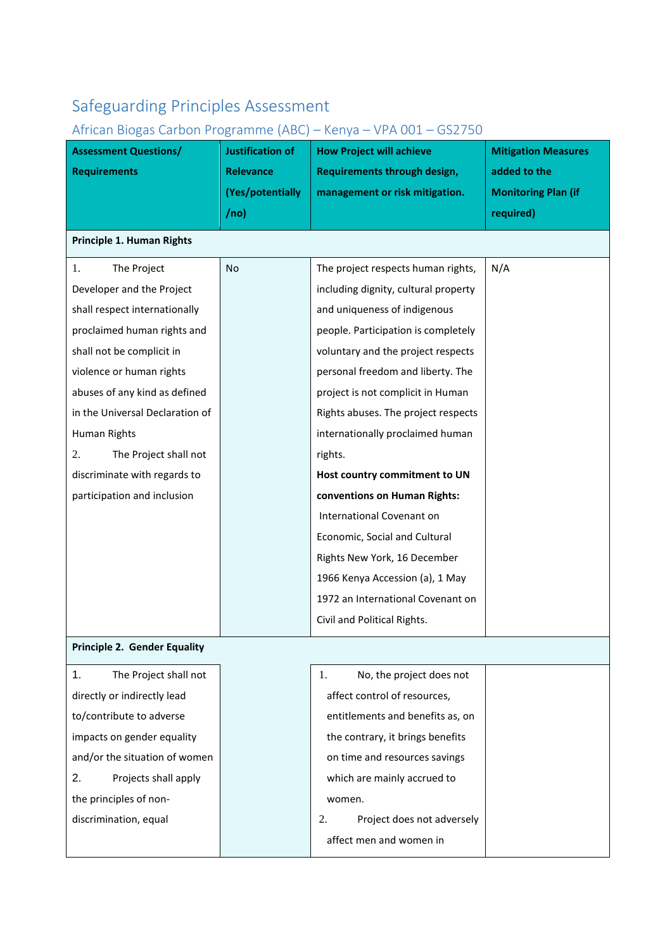## Safeguarding Principles Assessment

## African Biogas Carbon Programme (ABC) – Kenya – VPA 001 – GS2750

| <b>Assessment Questions/</b>        | Justification of | <b>How Project will achieve</b>      | <b>Mitigation Measures</b> |
|-------------------------------------|------------------|--------------------------------------|----------------------------|
| <b>Requirements</b>                 | <b>Relevance</b> | Requirements through design,         | added to the               |
|                                     | (Yes/potentially | management or risk mitigation.       | <b>Monitoring Plan (if</b> |
|                                     | /no)             |                                      | required)                  |
| Principle 1. Human Rights           |                  |                                      |                            |
| The Project<br>1.                   | No               | The project respects human rights,   | N/A                        |
| Developer and the Project           |                  | including dignity, cultural property |                            |
| shall respect internationally       |                  | and uniqueness of indigenous         |                            |
| proclaimed human rights and         |                  | people. Participation is completely  |                            |
| shall not be complicit in           |                  | voluntary and the project respects   |                            |
| violence or human rights            |                  | personal freedom and liberty. The    |                            |
| abuses of any kind as defined       |                  | project is not complicit in Human    |                            |
| in the Universal Declaration of     |                  | Rights abuses. The project respects  |                            |
| Human Rights                        |                  | internationally proclaimed human     |                            |
| The Project shall not<br>2.         |                  | rights.                              |                            |
| discriminate with regards to        |                  | Host country commitment to UN        |                            |
| participation and inclusion         |                  | conventions on Human Rights:         |                            |
|                                     |                  | International Covenant on            |                            |
|                                     |                  | Economic, Social and Cultural        |                            |
|                                     |                  | Rights New York, 16 December         |                            |
|                                     |                  | 1966 Kenya Accession (a), 1 May      |                            |
|                                     |                  | 1972 an International Covenant on    |                            |
|                                     |                  | Civil and Political Rights.          |                            |
| <b>Principle 2. Gender Equality</b> |                  |                                      |                            |
| 1.<br>The Project shall not         |                  | No, the project does not<br>1.       |                            |
| directly or indirectly lead         |                  | affect control of resources,         |                            |
| to/contribute to adverse            |                  | entitlements and benefits as, on     |                            |
| impacts on gender equality          |                  | the contrary, it brings benefits     |                            |
| and/or the situation of women       |                  | on time and resources savings        |                            |
| 2.<br>Projects shall apply          |                  | which are mainly accrued to          |                            |
| the principles of non-              |                  | women.                               |                            |
| discrimination, equal               |                  | Project does not adversely<br>2.     |                            |
|                                     |                  | affect men and women in              |                            |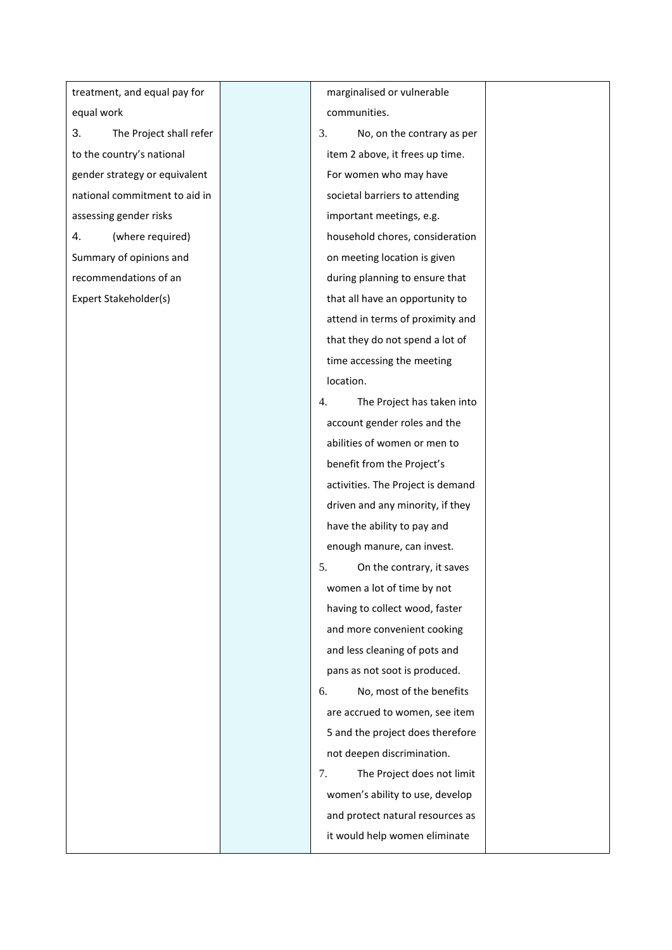treatment, and equal pay for equal work 3. The Project shall refer to the country's national gender strategy or equivalent national commitment to aid in assessing gender risks 4. (where required) Summary of opinions and recommendations of an Expert Stakeholder(s)

marginalised or vulnerable communities.

- 3. No, on the contrary as per item 2 above, it frees up time. For women who may have societal barriers to attending important meetings, e.g. household chores, consideration on meeting location is given during planning to ensure that that all have an opportunity to attend in terms of proximity and that they do not spend a lot of time accessing the meeting location.
- 4. The Project has taken into account gender roles and the abilities of women or men to benefit from the Project's activities. The Project is demand driven and any minority, if they have the ability to pay and enough manure, can invest.
- 5. On the contrary, it saves women a lot of time by not having to collect wood, faster and more convenient cooking and less cleaning of pots and pans as not soot is produced. 6. No, most of the benefits are accrued to women, see item 5 and the project does therefore not deepen discrimination.

7. The Project does not limit women's ability to use, develop and protect natural resources as it would help women eliminate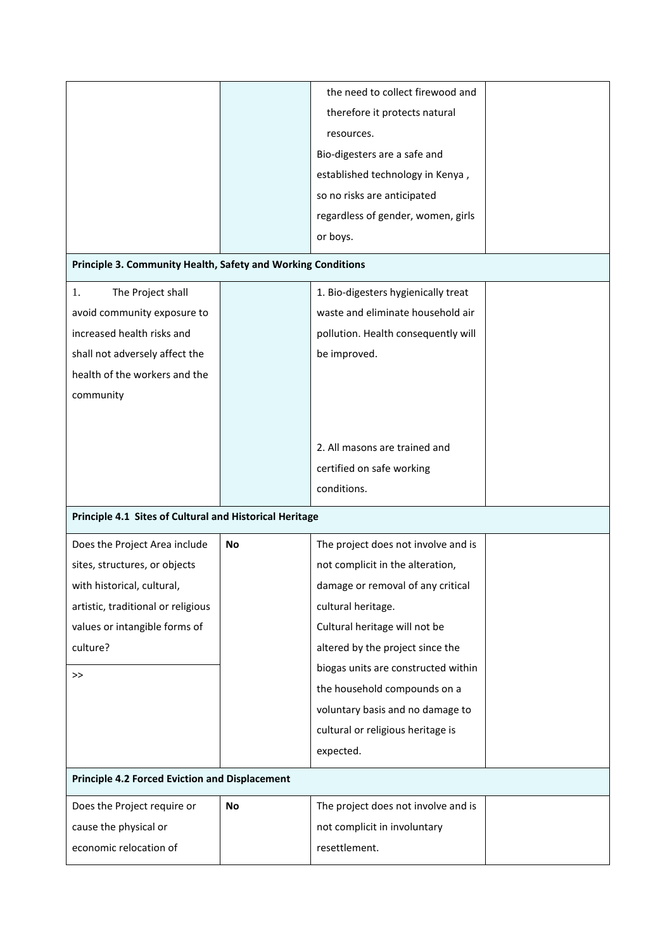|                                                              |           | the need to collect firewood and    |  |
|--------------------------------------------------------------|-----------|-------------------------------------|--|
|                                                              |           | therefore it protects natural       |  |
|                                                              |           | resources.                          |  |
|                                                              |           | Bio-digesters are a safe and        |  |
|                                                              |           | established technology in Kenya,    |  |
|                                                              |           | so no risks are anticipated         |  |
|                                                              |           | regardless of gender, women, girls  |  |
|                                                              |           | or boys.                            |  |
| Principle 3. Community Health, Safety and Working Conditions |           |                                     |  |
| The Project shall<br>1.                                      |           | 1. Bio-digesters hygienically treat |  |
| avoid community exposure to                                  |           | waste and eliminate household air   |  |
| increased health risks and                                   |           | pollution. Health consequently will |  |
| shall not adversely affect the                               |           | be improved.                        |  |
| health of the workers and the                                |           |                                     |  |
| community                                                    |           |                                     |  |
|                                                              |           |                                     |  |
|                                                              |           |                                     |  |
|                                                              |           | 2. All masons are trained and       |  |
|                                                              |           | certified on safe working           |  |
|                                                              |           |                                     |  |
|                                                              |           | conditions.                         |  |
| Principle 4.1 Sites of Cultural and Historical Heritage      |           |                                     |  |
| Does the Project Area include                                | <b>No</b> | The project does not involve and is |  |
| sites, structures, or objects                                |           | not complicit in the alteration,    |  |
| with historical, cultural,                                   |           | damage or removal of any critical   |  |
| artistic, traditional or religious                           |           | cultural heritage.                  |  |
| values or intangible forms of                                |           | Cultural heritage will not be       |  |
| culture?                                                     |           | altered by the project since the    |  |
| >>                                                           |           | biogas units are constructed within |  |
|                                                              |           | the household compounds on a        |  |
|                                                              |           | voluntary basis and no damage to    |  |
|                                                              |           | cultural or religious heritage is   |  |
|                                                              |           | expected.                           |  |
| <b>Principle 4.2 Forced Eviction and Displacement</b>        |           |                                     |  |
| Does the Project require or                                  | No        | The project does not involve and is |  |
| cause the physical or                                        |           | not complicit in involuntary        |  |
| economic relocation of                                       |           | resettlement.                       |  |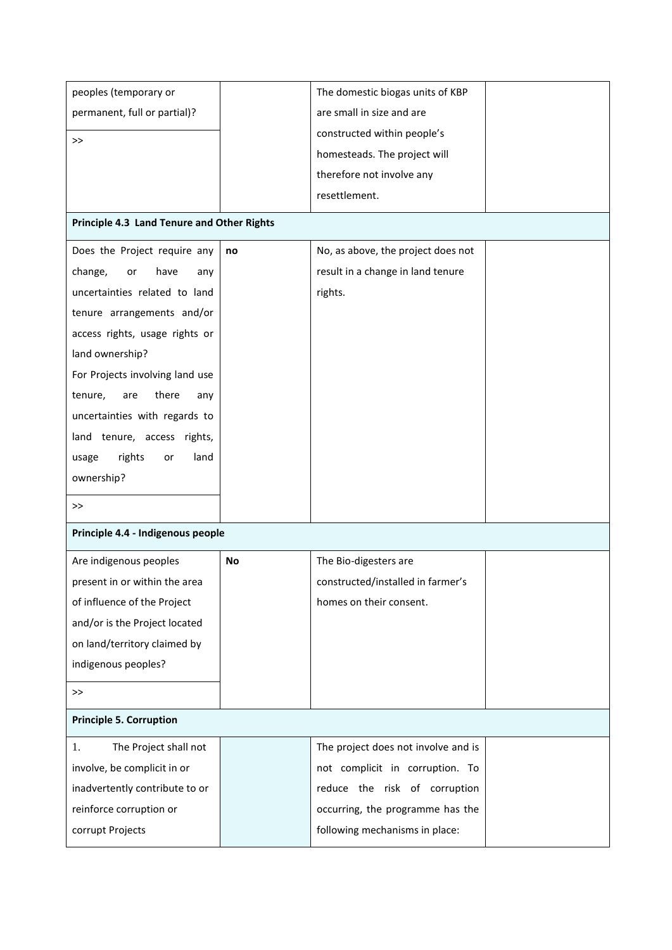| peoples (temporary or                      |    | The domestic biogas units of KBP    |  |
|--------------------------------------------|----|-------------------------------------|--|
| permanent, full or partial)?               |    | are small in size and are           |  |
|                                            |    | constructed within people's         |  |
| >                                          |    | homesteads. The project will        |  |
|                                            |    | therefore not involve any           |  |
|                                            |    | resettlement.                       |  |
|                                            |    |                                     |  |
| Principle 4.3 Land Tenure and Other Rights |    |                                     |  |
| Does the Project require any               | no | No, as above, the project does not  |  |
| change,<br>have<br>or<br>any               |    | result in a change in land tenure   |  |
| uncertainties related to land              |    | rights.                             |  |
| tenure arrangements and/or                 |    |                                     |  |
| access rights, usage rights or             |    |                                     |  |
| land ownership?                            |    |                                     |  |
| For Projects involving land use            |    |                                     |  |
| there<br>tenure,<br>are<br>any             |    |                                     |  |
| uncertainties with regards to              |    |                                     |  |
| land tenure, access rights,                |    |                                     |  |
| rights<br>land<br>usage<br>or              |    |                                     |  |
| ownership?                                 |    |                                     |  |
| >                                          |    |                                     |  |
| Principle 4.4 - Indigenous people          |    |                                     |  |
|                                            |    |                                     |  |
| Are indigenous peoples                     | No | The Bio-digesters are               |  |
| present in or within the area              |    | constructed/installed in farmer's   |  |
| of influence of the Project                |    | homes on their consent.             |  |
| and/or is the Project located              |    |                                     |  |
| on land/territory claimed by               |    |                                     |  |
| indigenous peoples?                        |    |                                     |  |
| >                                          |    |                                     |  |
| <b>Principle 5. Corruption</b>             |    |                                     |  |
| The Project shall not<br>1.                |    | The project does not involve and is |  |
| involve, be complicit in or                |    | not complicit in corruption. To     |  |
| inadvertently contribute to or             |    | reduce the risk of corruption       |  |
| reinforce corruption or                    |    | occurring, the programme has the    |  |
| corrupt Projects                           |    | following mechanisms in place:      |  |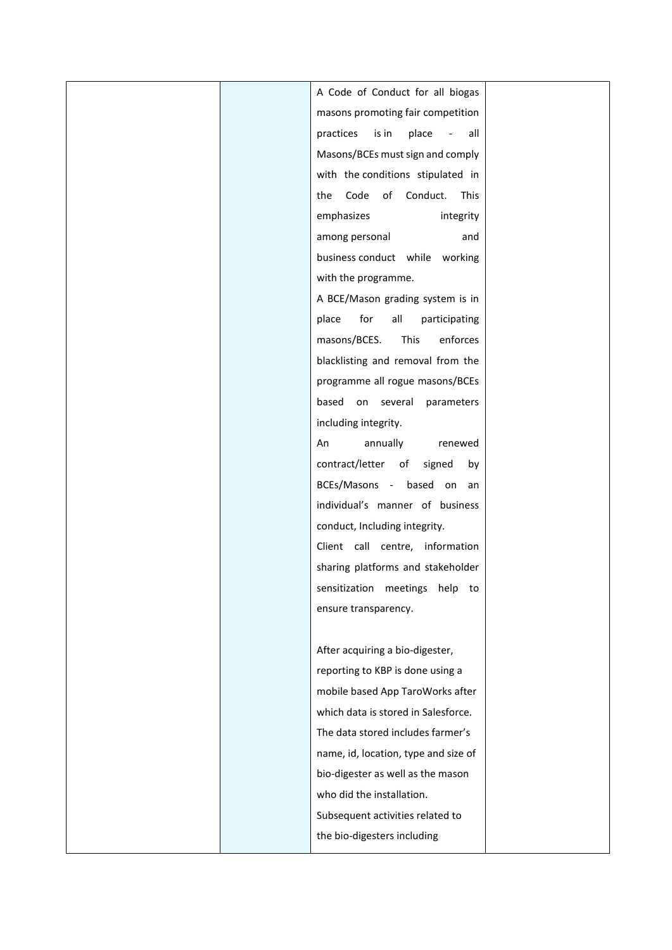| A Code of Conduct for all biogas      |  |
|---------------------------------------|--|
| masons promoting fair competition     |  |
| is in<br>place<br>practices<br>all    |  |
| Masons/BCEs must sign and comply      |  |
| with the conditions stipulated in     |  |
| Code<br>of Conduct.<br>This<br>the    |  |
| emphasizes<br>integrity               |  |
| among personal<br>and                 |  |
| business conduct while working        |  |
| with the programme.                   |  |
| A BCE/Mason grading system is in      |  |
| all<br>for<br>participating<br>place  |  |
| masons/BCES.<br>This<br>enforces      |  |
| blacklisting and removal from the     |  |
| programme all rogue masons/BCEs       |  |
| based<br>on several<br>parameters     |  |
| including integrity.                  |  |
| annually<br>An<br>renewed             |  |
| contract/letter<br>of<br>signed<br>by |  |
| BCEs/Masons - based on an             |  |
| individual's manner of business       |  |
| conduct, Including integrity.         |  |
| Client call centre, information       |  |
| sharing platforms and stakeholder     |  |
| sensitization meetings help to        |  |
| ensure transparency.                  |  |
|                                       |  |
| After acquiring a bio-digester,       |  |
| reporting to KBP is done using a      |  |
| mobile based App TaroWorks after      |  |
| which data is stored in Salesforce.   |  |
| The data stored includes farmer's     |  |
| name, id, location, type and size of  |  |
| bio-digester as well as the mason     |  |
| who did the installation.             |  |
| Subsequent activities related to      |  |
| the bio-digesters including           |  |
|                                       |  |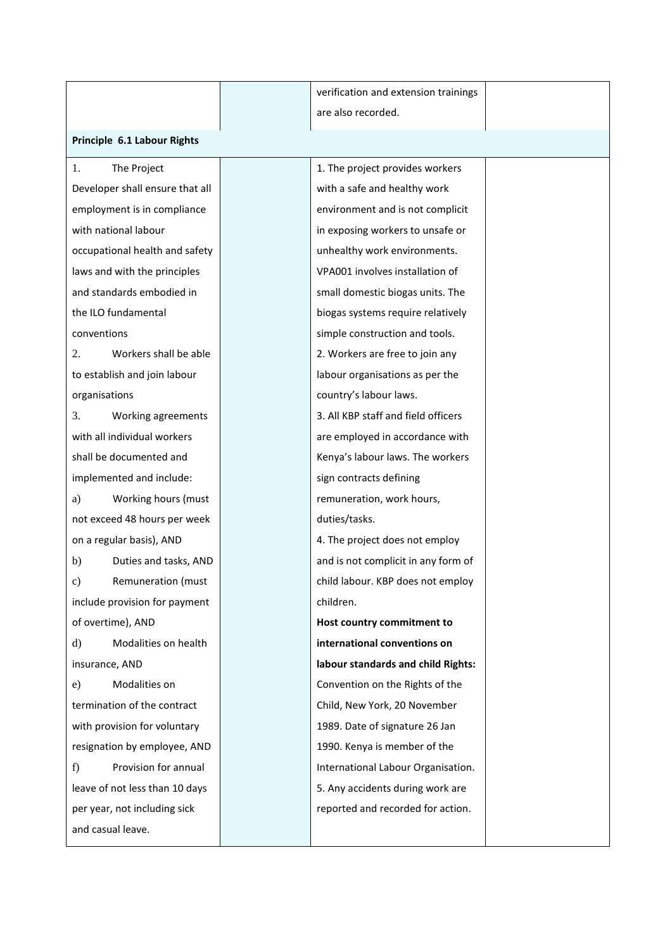|                                     |  | verification and extension trainings |  |  |
|-------------------------------------|--|--------------------------------------|--|--|
|                                     |  | are also recorded.                   |  |  |
| Principle 6.1 Labour Rights         |  |                                      |  |  |
| The Project<br>1.                   |  | 1. The project provides workers      |  |  |
| Developer shall ensure that all     |  | with a safe and healthy work         |  |  |
| employment is in compliance         |  | environment and is not complicit     |  |  |
| with national labour                |  | in exposing workers to unsafe or     |  |  |
| occupational health and safety      |  | unhealthy work environments.         |  |  |
| laws and with the principles        |  | VPA001 involves installation of      |  |  |
| and standards embodied in           |  | small domestic biogas units. The     |  |  |
| the ILO fundamental                 |  | biogas systems require relatively    |  |  |
| conventions                         |  | simple construction and tools.       |  |  |
| Workers shall be able<br>2.         |  | 2. Workers are free to join any      |  |  |
| to establish and join labour        |  | labour organisations as per the      |  |  |
| organisations                       |  | country's labour laws.               |  |  |
| Working agreements<br>3.            |  | 3. All KBP staff and field officers  |  |  |
| with all individual workers         |  | are employed in accordance with      |  |  |
| shall be documented and             |  | Kenya's labour laws. The workers     |  |  |
| implemented and include:            |  | sign contracts defining              |  |  |
| Working hours (must<br>a)           |  | remuneration, work hours,            |  |  |
| not exceed 48 hours per week        |  | duties/tasks.                        |  |  |
| on a regular basis), AND            |  | 4. The project does not employ       |  |  |
| Duties and tasks, AND<br>b)         |  | and is not complicit in any form of  |  |  |
| Remuneration (must<br>$\mathbf{c})$ |  | child labour. KBP does not employ    |  |  |
| include provision for payment       |  | children.                            |  |  |
| of overtime), AND                   |  | Host country commitment to           |  |  |
| Modalities on health<br>d)          |  | international conventions on         |  |  |
| insurance, AND                      |  | labour standards and child Rights:   |  |  |
| Modalities on<br>e)                 |  | Convention on the Rights of the      |  |  |
| termination of the contract         |  | Child, New York, 20 November         |  |  |
| with provision for voluntary        |  | 1989. Date of signature 26 Jan       |  |  |
| resignation by employee, AND        |  | 1990. Kenya is member of the         |  |  |
| Provision for annual<br>f)          |  | International Labour Organisation.   |  |  |
| leave of not less than 10 days      |  | 5. Any accidents during work are     |  |  |
| per year, not including sick        |  | reported and recorded for action.    |  |  |
| and casual leave.                   |  |                                      |  |  |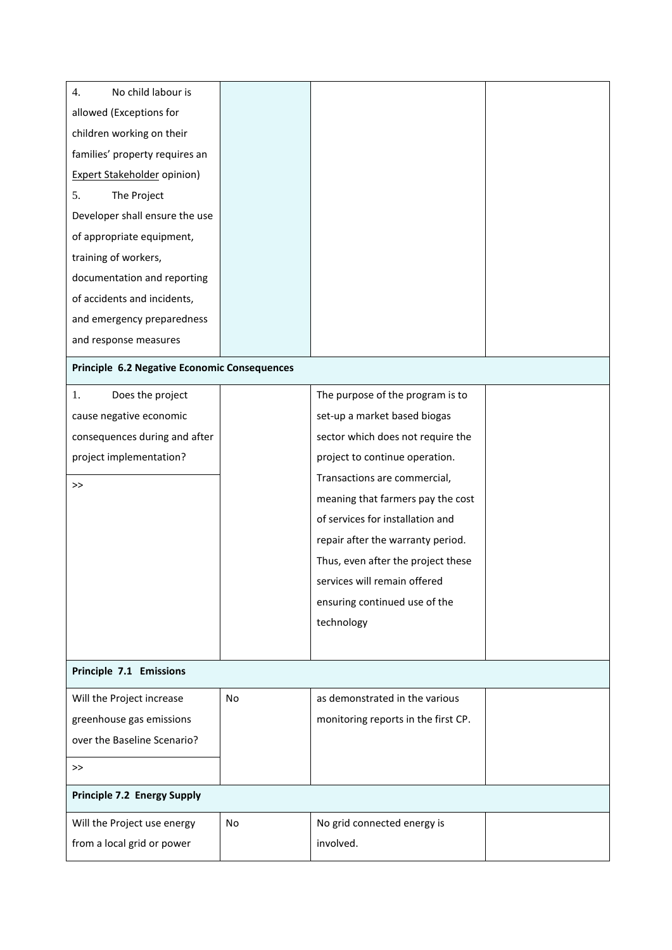| No child labour is<br>4.                     |           |                                     |  |
|----------------------------------------------|-----------|-------------------------------------|--|
| allowed (Exceptions for                      |           |                                     |  |
| children working on their                    |           |                                     |  |
| families' property requires an               |           |                                     |  |
| <b>Expert Stakeholder opinion)</b>           |           |                                     |  |
| 5.<br>The Project                            |           |                                     |  |
| Developer shall ensure the use               |           |                                     |  |
| of appropriate equipment,                    |           |                                     |  |
| training of workers,                         |           |                                     |  |
| documentation and reporting                  |           |                                     |  |
| of accidents and incidents,                  |           |                                     |  |
| and emergency preparedness                   |           |                                     |  |
| and response measures                        |           |                                     |  |
| Principle 6.2 Negative Economic Consequences |           |                                     |  |
| 1.<br>Does the project                       |           | The purpose of the program is to    |  |
| cause negative economic                      |           | set-up a market based biogas        |  |
| consequences during and after                |           | sector which does not require the   |  |
| project implementation?                      |           | project to continue operation.      |  |
| >                                            |           | Transactions are commercial,        |  |
|                                              |           | meaning that farmers pay the cost   |  |
|                                              |           | of services for installation and    |  |
|                                              |           | repair after the warranty period.   |  |
|                                              |           | Thus, even after the project these  |  |
|                                              |           | services will remain offered        |  |
|                                              |           | ensuring continued use of the       |  |
|                                              |           | technology                          |  |
|                                              |           |                                     |  |
| Principle 7.1 Emissions                      |           |                                     |  |
| Will the Project increase                    | <b>No</b> | as demonstrated in the various      |  |
| greenhouse gas emissions                     |           | monitoring reports in the first CP. |  |
| over the Baseline Scenario?                  |           |                                     |  |
| $\gt$                                        |           |                                     |  |
| <b>Principle 7.2 Energy Supply</b>           |           |                                     |  |
| Will the Project use energy                  | <b>No</b> | No grid connected energy is         |  |
| from a local grid or power                   |           | involved.                           |  |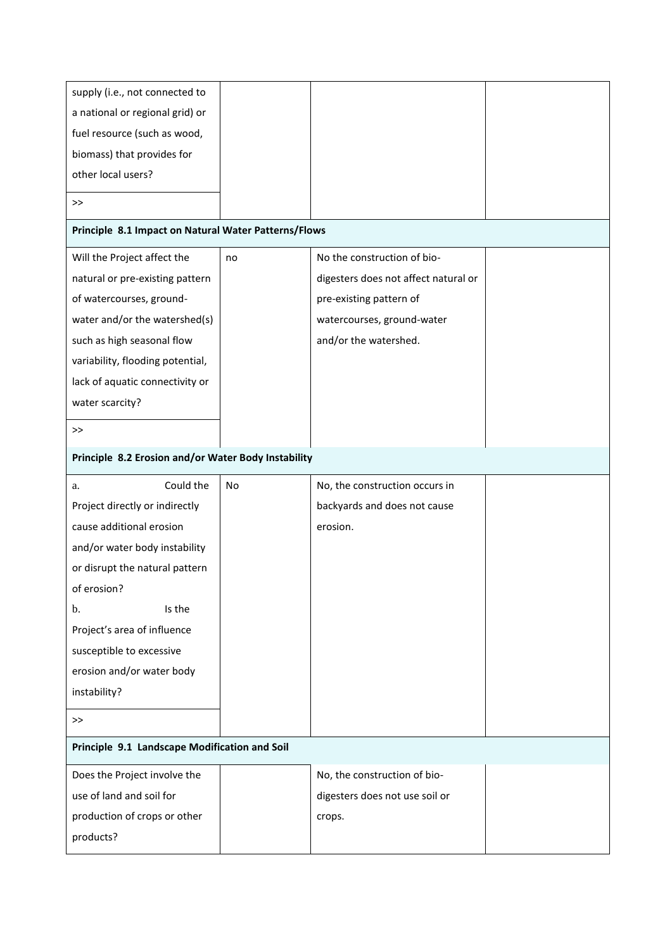| supply (i.e., not connected to                       |    |                                      |  |
|------------------------------------------------------|----|--------------------------------------|--|
| a national or regional grid) or                      |    |                                      |  |
| fuel resource (such as wood,                         |    |                                      |  |
| biomass) that provides for                           |    |                                      |  |
| other local users?                                   |    |                                      |  |
| >>                                                   |    |                                      |  |
| Principle 8.1 Impact on Natural Water Patterns/Flows |    |                                      |  |
| Will the Project affect the                          | no | No the construction of bio-          |  |
| natural or pre-existing pattern                      |    | digesters does not affect natural or |  |
| of watercourses, ground-                             |    | pre-existing pattern of              |  |
| water and/or the watershed(s)                        |    | watercourses, ground-water           |  |
| such as high seasonal flow                           |    | and/or the watershed.                |  |
| variability, flooding potential,                     |    |                                      |  |
| lack of aquatic connectivity or                      |    |                                      |  |
| water scarcity?                                      |    |                                      |  |
| >>                                                   |    |                                      |  |
| Principle 8.2 Erosion and/or Water Body Instability  |    |                                      |  |
|                                                      |    |                                      |  |
| Could the<br>a.                                      | No | No, the construction occurs in       |  |
| Project directly or indirectly                       |    | backyards and does not cause         |  |
| cause additional erosion                             |    | erosion.                             |  |
| and/or water body instability                        |    |                                      |  |
| or disrupt the natural pattern                       |    |                                      |  |
| of erosion?                                          |    |                                      |  |
| Is the<br>b.                                         |    |                                      |  |
| Project's area of influence                          |    |                                      |  |
| susceptible to excessive                             |    |                                      |  |
| erosion and/or water body                            |    |                                      |  |
| instability?                                         |    |                                      |  |
| >                                                    |    |                                      |  |
| Principle 9.1 Landscape Modification and Soil        |    |                                      |  |
| Does the Project involve the                         |    | No, the construction of bio-         |  |
| use of land and soil for                             |    | digesters does not use soil or       |  |
| production of crops or other                         |    | crops.                               |  |
| products?                                            |    |                                      |  |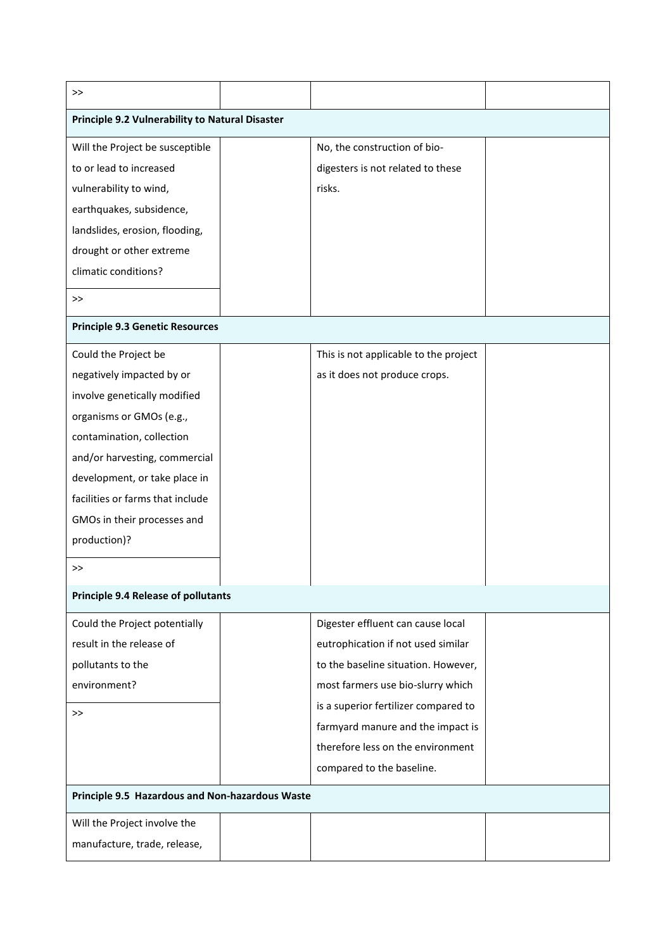| >                                               |                                       |  |
|-------------------------------------------------|---------------------------------------|--|
| Principle 9.2 Vulnerability to Natural Disaster |                                       |  |
| Will the Project be susceptible                 | No, the construction of bio-          |  |
| to or lead to increased                         | digesters is not related to these     |  |
| vulnerability to wind,                          | risks.                                |  |
| earthquakes, subsidence,                        |                                       |  |
| landslides, erosion, flooding,                  |                                       |  |
| drought or other extreme                        |                                       |  |
| climatic conditions?                            |                                       |  |
| >>                                              |                                       |  |
| <b>Principle 9.3 Genetic Resources</b>          |                                       |  |
| Could the Project be                            | This is not applicable to the project |  |
| negatively impacted by or                       | as it does not produce crops.         |  |
| involve genetically modified                    |                                       |  |
| organisms or GMOs (e.g.,                        |                                       |  |
| contamination, collection                       |                                       |  |
| and/or harvesting, commercial                   |                                       |  |
| development, or take place in                   |                                       |  |
| facilities or farms that include                |                                       |  |
| GMOs in their processes and                     |                                       |  |
| production)?                                    |                                       |  |
| >>                                              |                                       |  |
| <b>Principle 9.4 Release of pollutants</b>      |                                       |  |
| Could the Project potentially                   | Digester effluent can cause local     |  |
| result in the release of                        | eutrophication if not used similar    |  |
| pollutants to the                               | to the baseline situation. However,   |  |
| environment?                                    | most farmers use bio-slurry which     |  |
| >>                                              | is a superior fertilizer compared to  |  |
|                                                 | farmyard manure and the impact is     |  |
|                                                 | therefore less on the environment     |  |
|                                                 | compared to the baseline.             |  |
| Principle 9.5 Hazardous and Non-hazardous Waste |                                       |  |
| Will the Project involve the                    |                                       |  |
| manufacture, trade, release,                    |                                       |  |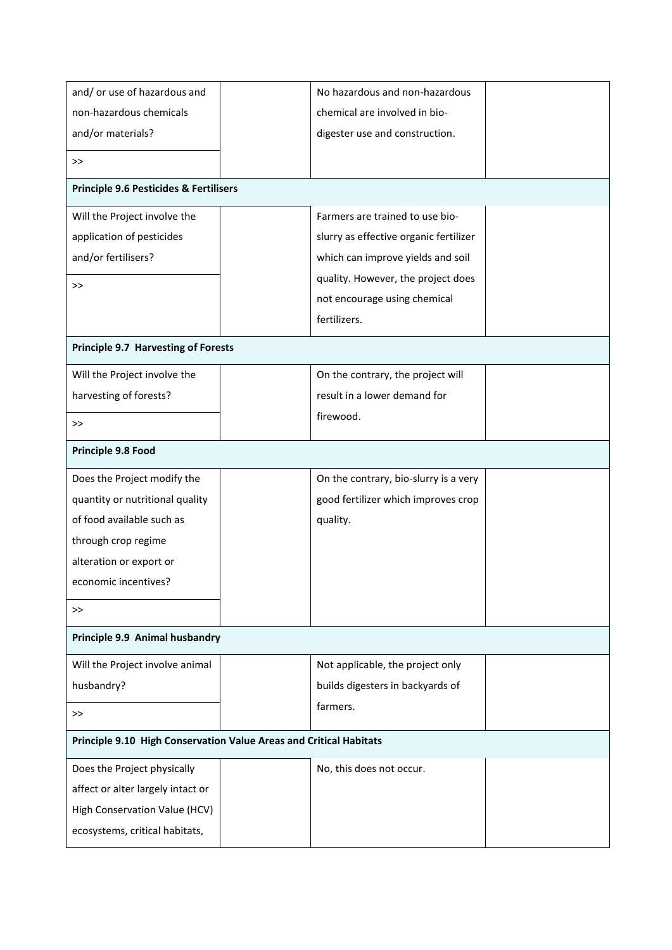| and/ or use of hazardous and                                       | No hazardous and non-hazardous         |  |  |
|--------------------------------------------------------------------|----------------------------------------|--|--|
| non-hazardous chemicals                                            | chemical are involved in bio-          |  |  |
| and/or materials?                                                  | digester use and construction.         |  |  |
| >>                                                                 |                                        |  |  |
| <b>Principle 9.6 Pesticides &amp; Fertilisers</b>                  |                                        |  |  |
| Will the Project involve the                                       | Farmers are trained to use bio-        |  |  |
| application of pesticides                                          | slurry as effective organic fertilizer |  |  |
| and/or fertilisers?                                                | which can improve yields and soil      |  |  |
| >                                                                  | quality. However, the project does     |  |  |
|                                                                    | not encourage using chemical           |  |  |
|                                                                    | fertilizers.                           |  |  |
| <b>Principle 9.7 Harvesting of Forests</b>                         |                                        |  |  |
| Will the Project involve the                                       | On the contrary, the project will      |  |  |
| harvesting of forests?                                             | result in a lower demand for           |  |  |
| >                                                                  | firewood.                              |  |  |
|                                                                    |                                        |  |  |
| Principle 9.8 Food                                                 |                                        |  |  |
| Does the Project modify the                                        | On the contrary, bio-slurry is a very  |  |  |
| quantity or nutritional quality                                    | good fertilizer which improves crop    |  |  |
| of food available such as                                          | quality.                               |  |  |
| through crop regime                                                |                                        |  |  |
| alteration or export or                                            |                                        |  |  |
| economic incentives?                                               |                                        |  |  |
| >>                                                                 |                                        |  |  |
| Principle 9.9 Animal husbandry                                     |                                        |  |  |
| Will the Project involve animal                                    | Not applicable, the project only       |  |  |
| husbandry?                                                         | builds digesters in backyards of       |  |  |
| $>\!>$                                                             | farmers.                               |  |  |
| Principle 9.10 High Conservation Value Areas and Critical Habitats |                                        |  |  |
| Does the Project physically                                        | No, this does not occur.               |  |  |
| affect or alter largely intact or                                  |                                        |  |  |
| High Conservation Value (HCV)                                      |                                        |  |  |
| ecosystems, critical habitats,                                     |                                        |  |  |
|                                                                    |                                        |  |  |